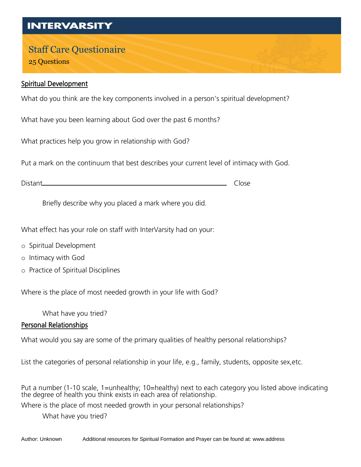## **INTERVARSITY**

# Staff Care Questionaire

25 Questions

#### Spiritual Development

What do you think are the key components involved in a person's spiritual development?

What have you been learning about God over the past 6 months?

What practices help you grow in relationship with God?

Put a mark on the continuum that best describes your current level of intimacy with God.

Distant Close

Briefly describe why you placed a mark where you did.

What effect has your role on staff with InterVarsity had on your:

- o Spiritual Development
- o Intimacy with God
- o Practice of Spiritual Disciplines

Where is the place of most needed growth in your life with God?

What have you tried?

#### Personal Relationships

What would you say are some of the primary qualities of healthy personal relationships?

List the categories of personal relationship in your life, e.g., family, students, opposite sex,etc.

Put a number (1-10 scale, 1=unhealthy; 10=healthy) next to each category you listed above indicating the degree of health you think exists in each area of relationship.

Where is the place of most needed growth in your personal relationships?

What have you tried?